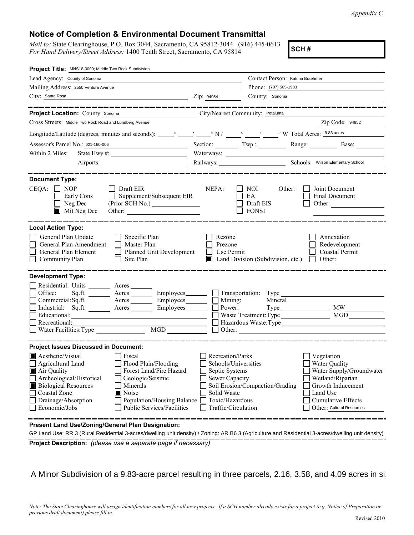*Appendix C*

## **Notice of Completion & Environmental Document Transmittal**

*Mail to:* State Clearinghouse, P.O. Box 3044, Sacramento, CA 95812-3044 (916) 445-0613 *For Hand Delivery/Street Address:* 1400 Tenth Street, Sacramento, CA 95814

**SCH #**

| Project Title: MNS18-0009; Middle Two Rock Subdivision                                                                                                                                                                                                                                                                                                   |                                                                                                                                       |                                                      |                                                                                                                                                                        |
|----------------------------------------------------------------------------------------------------------------------------------------------------------------------------------------------------------------------------------------------------------------------------------------------------------------------------------------------------------|---------------------------------------------------------------------------------------------------------------------------------------|------------------------------------------------------|------------------------------------------------------------------------------------------------------------------------------------------------------------------------|
| Lead Agency: County of Sonoma                                                                                                                                                                                                                                                                                                                            |                                                                                                                                       | Contact Person: Katrina Braehmer                     |                                                                                                                                                                        |
| Mailing Address: 2550 Ventura Avenue                                                                                                                                                                                                                                                                                                                     |                                                                                                                                       | Phone: (707) 565-1903                                |                                                                                                                                                                        |
| City: Santa Rosa<br><u> 1989 - Johann Barn, mars ann an t-Amhainn an t-Amhainn an t-Amhainn an t-Amhainn an t-Amhainn an t-Amhainn an</u>                                                                                                                                                                                                                | Zip: 94954                                                                                                                            | County: Sonoma                                       |                                                                                                                                                                        |
|                                                                                                                                                                                                                                                                                                                                                          |                                                                                                                                       |                                                      |                                                                                                                                                                        |
| Project Location: County: Sonoma<br>City/Nearest Community: Petaluma                                                                                                                                                                                                                                                                                     |                                                                                                                                       |                                                      |                                                                                                                                                                        |
| Cross Streets: Middle Two Rock Road and Lundberg Avenue                                                                                                                                                                                                                                                                                                  |                                                                                                                                       | <u> 1990 - Johann Barbara, martin eta </u>           | Zip Code: 94952                                                                                                                                                        |
|                                                                                                                                                                                                                                                                                                                                                          |                                                                                                                                       |                                                      |                                                                                                                                                                        |
| Assessor's Parcel No.: 021-160-006<br><u> 1989 - Johann Barbara, martin a</u>                                                                                                                                                                                                                                                                            |                                                                                                                                       | Section: Twp.:                                       | Range: Base:                                                                                                                                                           |
| State Hwy #: $\frac{1}{2}$ $\frac{1}{2}$ $\frac{1}{2}$ $\frac{1}{2}$ $\frac{1}{2}$ $\frac{1}{2}$ $\frac{1}{2}$ $\frac{1}{2}$ $\frac{1}{2}$ $\frac{1}{2}$ $\frac{1}{2}$ $\frac{1}{2}$ $\frac{1}{2}$ $\frac{1}{2}$ $\frac{1}{2}$ $\frac{1}{2}$ $\frac{1}{2}$ $\frac{1}{2}$ $\frac{1}{2}$ $\frac{1}{2}$ $\frac{1}{2}$<br>Within 2 Miles:                    |                                                                                                                                       |                                                      |                                                                                                                                                                        |
|                                                                                                                                                                                                                                                                                                                                                          |                                                                                                                                       |                                                      | Railways: Schools: Wilson Elementary School                                                                                                                            |
| <b>Document Type:</b><br>$CEQA: \Box NP$<br>$\Box$ Draft EIR<br>Supplement/Subsequent EIR<br>Early Cons<br>Neg Dec<br>Mit Neg Dec                                                                                                                                                                                                                        | NEPA:                                                                                                                                 | NOI.<br>Other:<br>EA<br>Draft EIS<br><b>FONSI</b>    | Joint Document<br>Final Document<br>Other: $\qquad \qquad$                                                                                                             |
| <b>Local Action Type:</b><br>General Plan Update<br>$\Box$ Specific Plan<br>General Plan Amendment<br>$\Box$ Master Plan<br>General Plan Element<br>$\Box$ Planned Unit Development<br>Community Plan<br>Site Plan<br>$\perp$                                                                                                                            | Rezone<br>Prezone<br>Use Permit<br>l 1                                                                                                | Land Division (Subdivision, etc.)                    | Annexation<br>Redevelopment<br>Coastal Permit<br>Other:<br>$\Box$                                                                                                      |
| <b>Development Type:</b>                                                                                                                                                                                                                                                                                                                                 |                                                                                                                                       |                                                      |                                                                                                                                                                        |
| Residential: Units ________ Acres _______<br>Office:<br>Sq.ft. ________ Acres _________ Employees _______ __ Transportation: Type<br>Commercial:Sq.ft. _______ Acres ________ Employees _______ $\Box$<br>Industrial: $Sq.fit.$ $\overline{\qquad}$ Acres<br>Employees and D<br>Educational:<br>Recreational:<br>MGD<br>Water Facilities: Type           |                                                                                                                                       | Mining:<br>Power:<br>Waste Treatment: Type<br>Other: | Mineral<br>MW<br>MGD<br>Hazardous Waste:Type                                                                                                                           |
| <b>Project Issues Discussed in Document:</b>                                                                                                                                                                                                                                                                                                             |                                                                                                                                       |                                                      |                                                                                                                                                                        |
| Aesthetic/Visual<br>Fiscal<br>Flood Plain/Flooding<br>Agricultural Land<br>Forest Land/Fire Hazard<br>Air Quality<br>Archeological/Historical<br>Geologic/Seismic<br><b>Biological Resources</b><br>Minerals<br>Coastal Zone<br>$\blacksquare$ Noise<br>Drainage/Absorption<br>Population/Housing Balance<br>Economic/Jobs<br>Public Services/Facilities | Recreation/Parks<br>Schools/Universities<br>Septic Systems<br>Sewer Capacity<br>Solid Waste<br>Toxic/Hazardous<br>Traffic/Circulation | Soil Erosion/Compaction/Grading                      | Vegetation<br>Water Quality<br>Water Supply/Groundwater<br>Wetland/Riparian<br>Growth Inducement<br>Land Use<br><b>Cumulative Effects</b><br>Other: Cultural Resources |
| Present Land Use/Zoning/General Plan Designation:                                                                                                                                                                                                                                                                                                        |                                                                                                                                       |                                                      |                                                                                                                                                                        |

**Project Description:** *(please use a separate page if necessary)* GP Land Use: RR 3 (Rural Residential 3-acres/dwelling unit density) / Zoning: AR B6 3 (Agriculture and Residential 3-acres/dwelling unit density)

A Minor Subdivision of a 9.83-acre parcel resulting in three parcels, 2.16, 3.58, and 4.09 acres in size